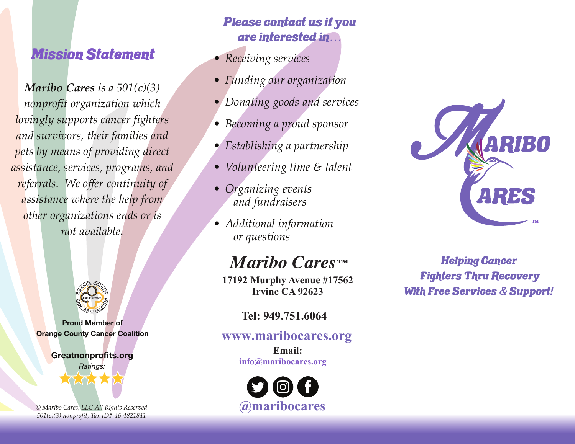## Mission Statement

*Maribo Cares is a 501(c)(3) nonprofit organization which lovingly supports cancer fighters and survivors, their families and pets by means of providing direct assistance, services, programs, and referrals. We offer continuity of assistance where the help from other organizations ends or is not available.*



Proud Member of **Orange County Cancer Coalition** 

Greatnonprofits.org



*© Maribo Cares, LLC All Rights Reserved 501(c)(3) nonprofit, Tax ID# 46-4821841*

### Please contact us if you are interested in*…*

- *Receiving services*
- *Funding our organization*
- *Donating goods and services*
- *Becoming a proud sponsor*
- *Establishing a partnership*
- *Volunteering time & talent*
- *Organizing events and fundraisers*
- *Additional information or questions*

# *Maribo Cares*™ Helping Cancer

**17192 Murphy Avenue #17562 Irvine CA 92623**

#### **Tel: 949.751.6064**

#### **www.maribocares.org**

**Email: info@maribocares.org**



ARES

Fighters Thru Recovery With Free Services *&* Support*!*